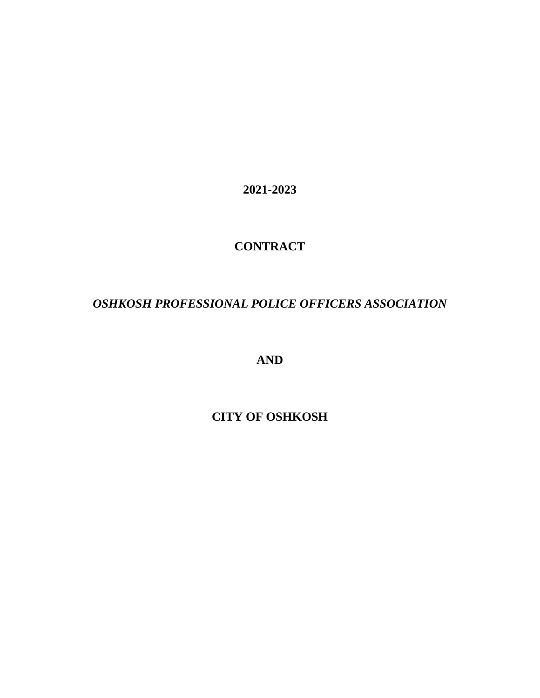**2021-2023**

# **CONTRACT**

# *OSHKOSH PROFESSIONAL POLICE OFFICERS ASSOCIATION*

**AND**

**CITY OF OSHKOSH**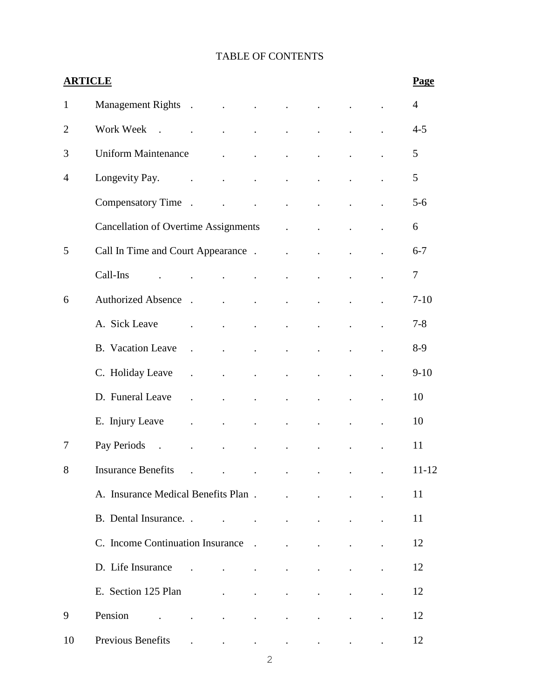# TABLE OF CONTENTS

|                | <b>ARTICLE</b>                                                                                                         |                                     |                                                    |                                                                                                 |                                                                       |                          |                      | Page           |
|----------------|------------------------------------------------------------------------------------------------------------------------|-------------------------------------|----------------------------------------------------|-------------------------------------------------------------------------------------------------|-----------------------------------------------------------------------|--------------------------|----------------------|----------------|
| 1              | Management Rights.                                                                                                     | and the contract of the contract of |                                                    | $\ddot{\phantom{a}}$                                                                            | $\ddot{\phantom{a}}$                                                  |                          |                      | $\overline{4}$ |
| $\overline{2}$ | Work Week<br>$\sim$ $\sim$                                                                                             | $\ddot{\phantom{0}}$                | $\ddot{\phantom{a}}$                               | $\ddot{\phantom{0}}$                                                                            | $\ddot{\phantom{a}}$                                                  | $\ddot{\phantom{0}}$     |                      | $4 - 5$        |
| 3              | <b>Uniform Maintenance</b>                                                                                             | $\mathbf{L}$ and $\mathbf{L}$       | $\mathbb{Z}^{n+1}$                                 | $\ddot{\phantom{a}}$                                                                            | $\ddot{\phantom{0}}$                                                  | $\bullet$                |                      | 5              |
| 4              | Longevity Pay.<br>$\ddot{\phantom{a}}$                                                                                 | $\mathbf{L}^{\text{max}}$           | $\ddot{\phantom{0}}$                               | $\ddot{\phantom{0}}$                                                                            | $\ddot{\phantom{0}}$                                                  | $\bullet$                |                      | 5              |
|                | Compensatory Time.                                                                                                     | $\ddot{\phantom{a}}$                | $\ddot{\phantom{a}}$                               | $\ddot{\phantom{a}}$                                                                            | $\ddot{\phantom{a}}$                                                  | $\ddot{\phantom{0}}$     |                      | $5 - 6$        |
|                | <b>Cancellation of Overtime Assignments</b>                                                                            |                                     |                                                    | $\mathbf{L}^{\text{max}}$                                                                       | $\sim 10$                                                             |                          |                      | 6              |
| 5              | Call In Time and Court Appearance .                                                                                    |                                     |                                                    | $\ddot{\phantom{0}}$                                                                            | $\ddot{\phantom{a}}$                                                  | $\ddot{\phantom{a}}$     |                      | $6 - 7$        |
|                | Call-Ins                                                                                                               |                                     | $\ddot{\phantom{0}}$                               | $\bullet$                                                                                       | $\ddot{\phantom{a}}$                                                  | $\bullet$                |                      | $\overline{7}$ |
| 6              | <b>Authorized Absence</b><br>$\mathbb{R}^2$                                                                            | $\ddot{\phantom{0}}$                | $\mathcal{L}^{\text{max}}$                         | $\ddot{\phantom{0}}$                                                                            | $\ddot{\phantom{0}}$                                                  | $\ddot{\phantom{a}}$     |                      | $7 - 10$       |
|                | A. Sick Leave                                                                                                          | $\ddot{\phantom{a}}$                | $\ddot{\phantom{0}}$                               | $\ddot{\phantom{0}}$                                                                            | $\ddot{\phantom{0}}$                                                  | $\ddot{\phantom{a}}$     |                      | $7 - 8$        |
|                | <b>B.</b> Vacation Leave<br>$\ddot{\phantom{a}}$                                                                       | $\ddot{\phantom{0}}$                | $\ddot{\phantom{0}}$                               | $\ddot{\phantom{0}}$                                                                            | $\ddot{\phantom{0}}$                                                  | $\ddot{\phantom{0}}$     |                      | $8-9$          |
|                | C. Holiday Leave<br>$\ddot{\phantom{a}}$                                                                               | $\ddot{\phantom{0}}$                | $\ddot{\phantom{0}}$                               | $\ddot{\phantom{0}}$                                                                            | $\ddot{\phantom{a}}$                                                  | $\ddot{\phantom{a}}$     |                      | $9 - 10$       |
|                | D. Funeral Leave<br>$\ddot{\phantom{0}}$                                                                               | $\mathbf{L}^{\text{max}}$           | $\ddot{\phantom{a}}$                               | $\bullet$                                                                                       | $\ddot{\phantom{0}}$                                                  | $\ddot{\phantom{a}}$     |                      | 10             |
|                | E. Injury Leave<br>$\ddot{\phantom{0}}$                                                                                | $\bullet$                           | $\bullet$                                          | $\blacksquare$                                                                                  | $\ddot{\phantom{0}}$                                                  | $\blacksquare$           | $\ddot{\phantom{a}}$ | 10             |
| 7              | Pay Periods<br>$\sim$                                                                                                  |                                     |                                                    |                                                                                                 |                                                                       |                          |                      | 11             |
| 8              | <b>Insurance Benefits</b><br>$\mathbf{r}$<br>$\sim$                                                                    |                                     |                                                    | the contract of the contract of the contract of the contract of the contract of the contract of |                                                                       |                          |                      | $11 - 12$      |
|                | A. Insurance Medical Benefits Plan.                                                                                    |                                     |                                                    | $\ddot{\phantom{a}}$                                                                            | $\ddot{\phantom{a}}$                                                  | $\ddot{\phantom{a}}$     |                      | 11             |
|                | B. Dental Insurance. .                                                                                                 |                                     |                                                    | the contract of the contract of the contract of                                                 |                                                                       | $\bullet$ .              |                      | 11             |
|                |                                                                                                                        |                                     |                                                    |                                                                                                 | <b>All Contract Contracts</b>                                         |                          | $\cdot$              | 12             |
|                |                                                                                                                        |                                     |                                                    | $\mathbf{L}^{\text{max}}$                                                                       | $\mathbf{L}^{\text{max}}$                                             | $\bullet$                |                      | 12             |
|                | E. Section 125 Plan                                                                                                    |                                     | and the contract of the contract of                |                                                                                                 | $\mathbf{r}$ , and $\mathbf{r}$ , and $\mathbf{r}$ , and $\mathbf{r}$ |                          |                      | 12             |
| 9              | Pension<br>the contract of the contract of the contract of the contract of<br>$\cdot$                                  |                                     |                                                    |                                                                                                 |                                                                       |                          |                      | 12             |
| 10             | Previous Benefits<br>$\mathcal{L}(\mathcal{A})$ and $\mathcal{L}(\mathcal{A})$ . The set of $\mathcal{L}(\mathcal{A})$ |                                     | $\mathbf{r}$ , and $\mathbf{r}$ , and $\mathbf{r}$ |                                                                                                 | <b>Contractor</b>                                                     | <b>Contract Contract</b> | $\blacksquare$       | 12             |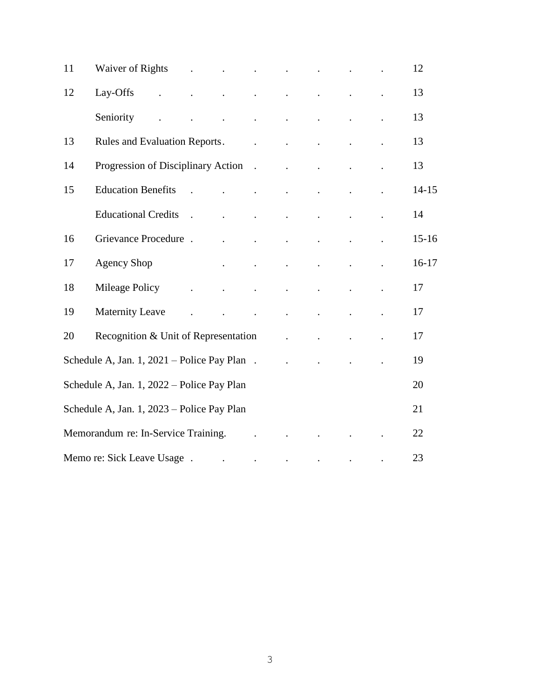| 11 | Waiver of Rights (a) research in the set of Rights |                                                           |                                                                          |                                                           | $\mathbf{r} = \mathbf{r} \cdot \mathbf{r}$ |                            |                         | 12        |
|----|----------------------------------------------------|-----------------------------------------------------------|--------------------------------------------------------------------------|-----------------------------------------------------------|--------------------------------------------|----------------------------|-------------------------|-----------|
| 12 | Lay-Offs                                           |                                                           | and the contract of the contract of the contract of                      |                                                           |                                            |                            | $\sim 100$ km s $^{-1}$ | 13        |
|    | Seniority<br>$\ddot{\phantom{a}}$                  |                                                           | $\mathcal{A}$ and $\mathcal{A}$ are $\mathcal{A}$ . In the $\mathcal{A}$ |                                                           |                                            | $\ddot{\phantom{a}}$       | $\ddot{\phantom{a}}$    | 13        |
| 13 | <b>Rules and Evaluation Reports.</b>               |                                                           |                                                                          | and the company of the                                    |                                            | $\mathbf{L}$               | $\ddot{\phantom{a}}$    | 13        |
| 14 | Progression of Disciplinary Action .               |                                                           |                                                                          |                                                           |                                            | $\ddot{\phantom{a}}$       | $\ddot{\phantom{a}}$    | 13        |
| 15 | <b>Education Benefits</b>                          | $\mathbf{r}$                                              | $\mathbf{r} = \mathbf{r}$                                                |                                                           | $\mathbf{L}^{\text{max}}$                  | $\mathbf{L}^{\text{max}}$  | $\ddot{\phantom{a}}$    | $14 - 15$ |
|    | <b>Educational Credits</b>                         | $\sim$ .                                                  | and the company of the company                                           | $\sim$                                                    | $\Box$                                     | $\bullet$                  | $\Box$                  | 14        |
| 16 | Grievance Procedure.                               |                                                           | $\sim 100$ km s $^{-1}$                                                  | $\ddot{\phantom{0}}$                                      | $\ddot{\phantom{a}}$                       | $\ddot{\phantom{0}}$       | $\ddot{\phantom{a}}$    | $15 - 16$ |
| 17 | <b>Agency Shop</b>                                 |                                                           | $\sim$ $\sim$ $\sim$                                                     | $\ddot{\phantom{a}}$                                      | $\mathbf{L}^{\text{max}}$                  | $\mathcal{L}^{\text{max}}$ | $\sim$ $\sim$           | $16-17$   |
| 18 | Mileage Policy                                     | $\mathcal{L}^{\text{max}}$ and $\mathcal{L}^{\text{max}}$ |                                                                          | $\bullet$                                                 | $\ddot{\phantom{0}}$                       | $\sim$                     | $\ddot{\phantom{a}}$    | 17        |
| 19 | <b>Maternity Leave</b>                             | $\ddot{\phantom{a}}$                                      |                                                                          | $\mathcal{L}^{\text{max}}$ and $\mathcal{L}^{\text{max}}$ |                                            | $\ddot{\phantom{a}}$       | $\ddot{\phantom{a}}$    | 17        |
| 20 | Recognition & Unit of Representation               |                                                           |                                                                          |                                                           | $\ddot{\phantom{0}}$                       | $\ddot{\phantom{a}}$       |                         | 17        |
|    | Schedule A, Jan. 1, 2021 – Police Pay Plan.        |                                                           |                                                                          |                                                           | $\sim 100$ km s $^{-1}$                    | $\sim$ $\sim$              |                         | 19        |
|    | Schedule A, Jan. 1, 2022 – Police Pay Plan         |                                                           |                                                                          |                                                           |                                            |                            |                         | 20        |
|    | Schedule A, Jan. 1, 2023 – Police Pay Plan         |                                                           |                                                                          |                                                           |                                            |                            |                         | 21        |
|    | Memorandum re: In-Service Training.                |                                                           |                                                                          |                                                           |                                            |                            |                         | 22        |
|    | Memo re: Sick Leave Usage.                         |                                                           | <b>Contract Contract</b>                                                 | $\bullet$                                                 | $\ddot{\phantom{a}}$                       | $\bullet$                  | $\ddot{\phantom{a}}$    | 23        |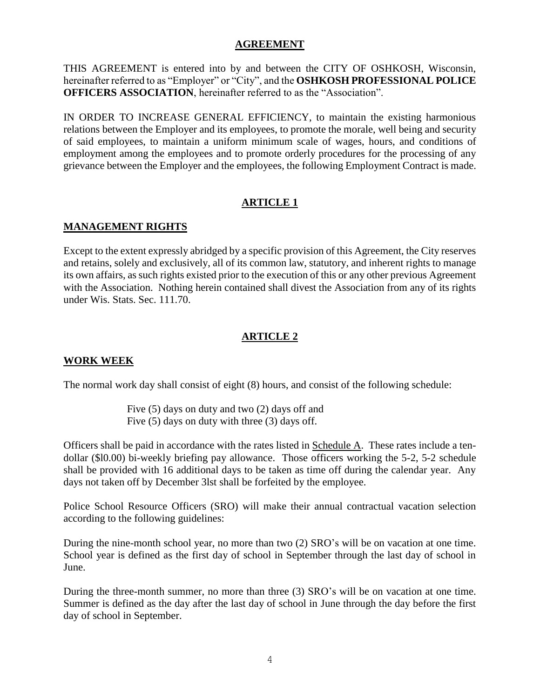#### **AGREEMENT**

THIS AGREEMENT is entered into by and between the CITY OF OSHKOSH, Wisconsin, hereinafter referred to as "Employer" or "City", and the **OSHKOSH PROFESSIONAL POLICE OFFICERS ASSOCIATION**, hereinafter referred to as the "Association".

IN ORDER TO INCREASE GENERAL EFFICIENCY, to maintain the existing harmonious relations between the Employer and its employees, to promote the morale, well being and security of said employees, to maintain a uniform minimum scale of wages, hours, and conditions of employment among the employees and to promote orderly procedures for the processing of any grievance between the Employer and the employees, the following Employment Contract is made.

## **ARTICLE 1**

# **MANAGEMENT RIGHTS**

Except to the extent expressly abridged by a specific provision of this Agreement, the City reserves and retains, solely and exclusively, all of its common law, statutory, and inherent rights to manage its own affairs, as such rights existed prior to the execution of this or any other previous Agreement with the Association. Nothing herein contained shall divest the Association from any of its rights under Wis. Stats. Sec. 111.70.

# **ARTICLE 2**

## **WORK WEEK**

The normal work day shall consist of eight (8) hours, and consist of the following schedule:

Five (5) days on duty and two (2) days off and Five (5) days on duty with three (3) days off.

Officers shall be paid in accordance with the rates listed in Schedule A. These rates include a tendollar (\$l0.00) bi-weekly briefing pay allowance. Those officers working the 5-2, 5-2 schedule shall be provided with 16 additional days to be taken as time off during the calendar year. Any days not taken off by December 3lst shall be forfeited by the employee.

Police School Resource Officers (SRO) will make their annual contractual vacation selection according to the following guidelines:

During the nine-month school year, no more than two (2) SRO's will be on vacation at one time. School year is defined as the first day of school in September through the last day of school in June.

During the three-month summer, no more than three (3) SRO's will be on vacation at one time. Summer is defined as the day after the last day of school in June through the day before the first day of school in September.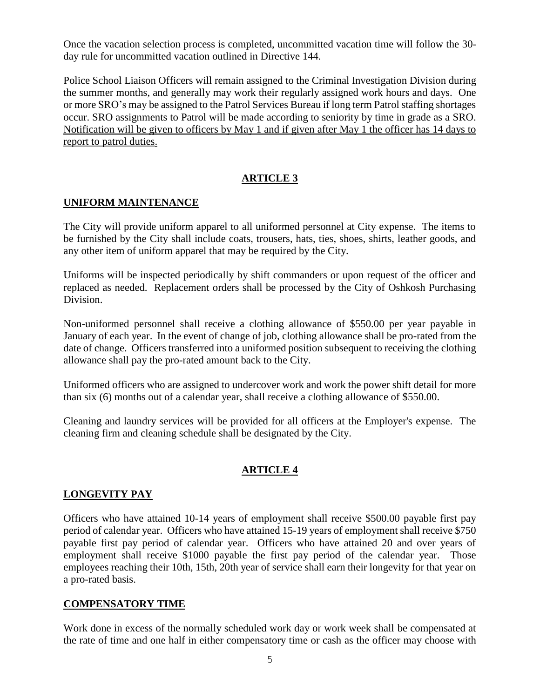Once the vacation selection process is completed, uncommitted vacation time will follow the 30 day rule for uncommitted vacation outlined in Directive 144.

Police School Liaison Officers will remain assigned to the Criminal Investigation Division during the summer months, and generally may work their regularly assigned work hours and days. One or more SRO's may be assigned to the Patrol Services Bureau if long term Patrol staffing shortages occur. SRO assignments to Patrol will be made according to seniority by time in grade as a SRO. Notification will be given to officers by May 1 and if given after May 1 the officer has 14 days to report to patrol duties.

# **ARTICLE 3**

#### **UNIFORM MAINTENANCE**

The City will provide uniform apparel to all uniformed personnel at City expense. The items to be furnished by the City shall include coats, trousers, hats, ties, shoes, shirts, leather goods, and any other item of uniform apparel that may be required by the City.

Uniforms will be inspected periodically by shift commanders or upon request of the officer and replaced as needed. Replacement orders shall be processed by the City of Oshkosh Purchasing Division.

Non-uniformed personnel shall receive a clothing allowance of \$550.00 per year payable in January of each year. In the event of change of job, clothing allowance shall be pro-rated from the date of change. Officers transferred into a uniformed position subsequent to receiving the clothing allowance shall pay the pro-rated amount back to the City.

Uniformed officers who are assigned to undercover work and work the power shift detail for more than six (6) months out of a calendar year, shall receive a clothing allowance of \$550.00.

Cleaning and laundry services will be provided for all officers at the Employer's expense. The cleaning firm and cleaning schedule shall be designated by the City.

## **ARTICLE 4**

## **LONGEVITY PAY**

Officers who have attained 10-14 years of employment shall receive \$500.00 payable first pay period of calendar year. Officers who have attained 15-19 years of employment shall receive \$750 payable first pay period of calendar year. Officers who have attained 20 and over years of employment shall receive \$1000 payable the first pay period of the calendar year. Those employees reaching their 10th, 15th, 20th year of service shall earn their longevity for that year on a pro-rated basis.

#### **COMPENSATORY TIME**

Work done in excess of the normally scheduled work day or work week shall be compensated at the rate of time and one half in either compensatory time or cash as the officer may choose with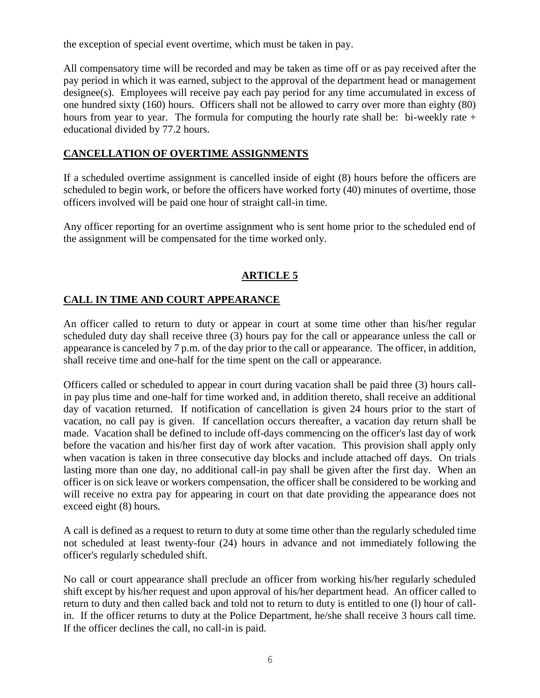the exception of special event overtime, which must be taken in pay.

All compensatory time will be recorded and may be taken as time off or as pay received after the pay period in which it was earned, subject to the approval of the department head or management designee(s). Employees will receive pay each pay period for any time accumulated in excess of one hundred sixty (160) hours. Officers shall not be allowed to carry over more than eighty (80) hours from year to year. The formula for computing the hourly rate shall be: bi-weekly rate  $+$ educational divided by 77.2 hours.

## **CANCELLATION OF OVERTIME ASSIGNMENTS**

If a scheduled overtime assignment is cancelled inside of eight (8) hours before the officers are scheduled to begin work, or before the officers have worked forty (40) minutes of overtime, those officers involved will be paid one hour of straight call-in time.

Any officer reporting for an overtime assignment who is sent home prior to the scheduled end of the assignment will be compensated for the time worked only.

# **ARTICLE 5**

# **CALL IN TIME AND COURT APPEARANCE**

An officer called to return to duty or appear in court at some time other than his/her regular scheduled duty day shall receive three (3) hours pay for the call or appearance unless the call or appearance is canceled by 7 p.m. of the day prior to the call or appearance. The officer, in addition, shall receive time and one-half for the time spent on the call or appearance.

Officers called or scheduled to appear in court during vacation shall be paid three (3) hours callin pay plus time and one-half for time worked and, in addition thereto, shall receive an additional day of vacation returned. If notification of cancellation is given 24 hours prior to the start of vacation, no call pay is given. If cancellation occurs thereafter, a vacation day return shall be made. Vacation shall be defined to include off-days commencing on the officer's last day of work before the vacation and his/her first day of work after vacation. This provision shall apply only when vacation is taken in three consecutive day blocks and include attached off days. On trials lasting more than one day, no additional call-in pay shall be given after the first day. When an officer is on sick leave or workers compensation, the officer shall be considered to be working and will receive no extra pay for appearing in court on that date providing the appearance does not exceed eight (8) hours.

A call is defined as a request to return to duty at some time other than the regularly scheduled time not scheduled at least twenty-four (24) hours in advance and not immediately following the officer's regularly scheduled shift.

No call or court appearance shall preclude an officer from working his/her regularly scheduled shift except by his/her request and upon approval of his/her department head. An officer called to return to duty and then called back and told not to return to duty is entitled to one (l) hour of callin. If the officer returns to duty at the Police Department, he/she shall receive 3 hours call time. If the officer declines the call, no call-in is paid.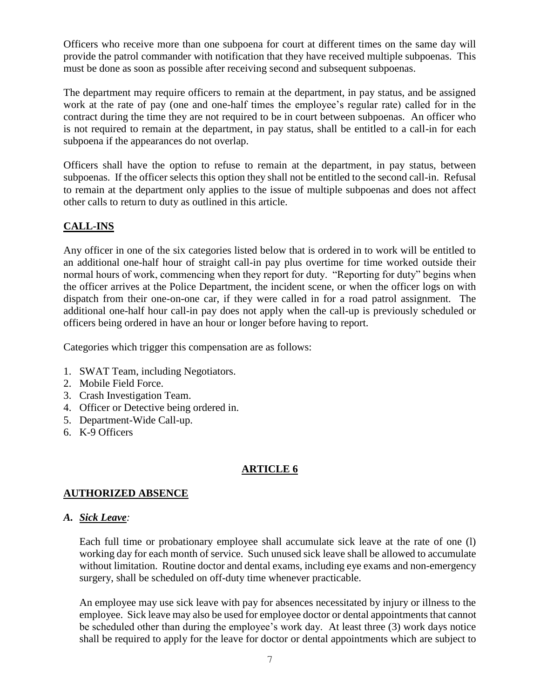Officers who receive more than one subpoena for court at different times on the same day will provide the patrol commander with notification that they have received multiple subpoenas. This must be done as soon as possible after receiving second and subsequent subpoenas.

The department may require officers to remain at the department, in pay status, and be assigned work at the rate of pay (one and one-half times the employee's regular rate) called for in the contract during the time they are not required to be in court between subpoenas. An officer who is not required to remain at the department, in pay status, shall be entitled to a call-in for each subpoena if the appearances do not overlap.

Officers shall have the option to refuse to remain at the department, in pay status, between subpoenas. If the officer selects this option they shall not be entitled to the second call-in. Refusal to remain at the department only applies to the issue of multiple subpoenas and does not affect other calls to return to duty as outlined in this article.

# **CALL-INS**

Any officer in one of the six categories listed below that is ordered in to work will be entitled to an additional one-half hour of straight call-in pay plus overtime for time worked outside their normal hours of work, commencing when they report for duty. "Reporting for duty" begins when the officer arrives at the Police Department, the incident scene, or when the officer logs on with dispatch from their one-on-one car, if they were called in for a road patrol assignment. The additional one-half hour call-in pay does not apply when the call-up is previously scheduled or officers being ordered in have an hour or longer before having to report.

Categories which trigger this compensation are as follows:

- 1. SWAT Team, including Negotiators.
- 2. Mobile Field Force.
- 3. Crash Investigation Team.
- 4. Officer or Detective being ordered in.
- 5. Department-Wide Call-up.
- 6. K-9 Officers

# **ARTICLE 6**

## **AUTHORIZED ABSENCE**

#### *A. Sick Leave:*

Each full time or probationary employee shall accumulate sick leave at the rate of one (l) working day for each month of service. Such unused sick leave shall be allowed to accumulate without limitation. Routine doctor and dental exams, including eye exams and non-emergency surgery, shall be scheduled on off-duty time whenever practicable.

An employee may use sick leave with pay for absences necessitated by injury or illness to the employee. Sick leave may also be used for employee doctor or dental appointments that cannot be scheduled other than during the employee's work day. At least three (3) work days notice shall be required to apply for the leave for doctor or dental appointments which are subject to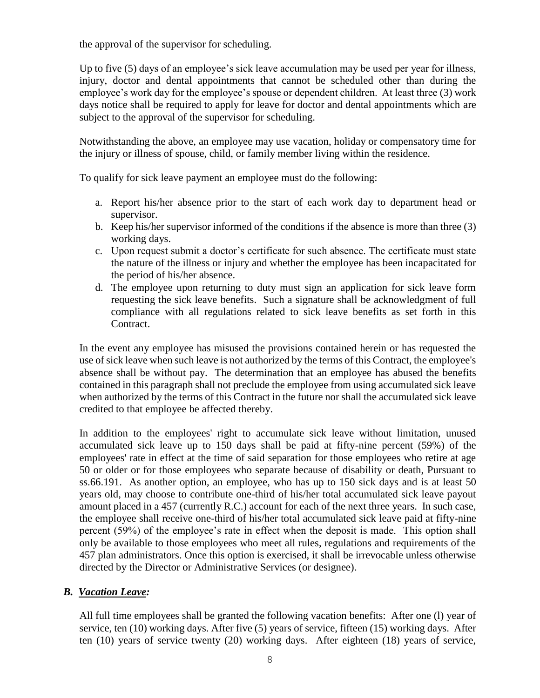the approval of the supervisor for scheduling.

Up to five (5) days of an employee's sick leave accumulation may be used per year for illness, injury, doctor and dental appointments that cannot be scheduled other than during the employee's work day for the employee's spouse or dependent children. At least three (3) work days notice shall be required to apply for leave for doctor and dental appointments which are subject to the approval of the supervisor for scheduling.

Notwithstanding the above, an employee may use vacation, holiday or compensatory time for the injury or illness of spouse, child, or family member living within the residence.

To qualify for sick leave payment an employee must do the following:

- a. Report his/her absence prior to the start of each work day to department head or supervisor.
- b. Keep his/her supervisor informed of the conditions if the absence is more than three (3) working days.
- c. Upon request submit a doctor's certificate for such absence. The certificate must state the nature of the illness or injury and whether the employee has been incapacitated for the period of his/her absence.
- d. The employee upon returning to duty must sign an application for sick leave form requesting the sick leave benefits. Such a signature shall be acknowledgment of full compliance with all regulations related to sick leave benefits as set forth in this Contract.

In the event any employee has misused the provisions contained herein or has requested the use of sick leave when such leave is not authorized by the terms of this Contract, the employee's absence shall be without pay. The determination that an employee has abused the benefits contained in this paragraph shall not preclude the employee from using accumulated sick leave when authorized by the terms of this Contract in the future nor shall the accumulated sick leave credited to that employee be affected thereby.

In addition to the employees' right to accumulate sick leave without limitation, unused accumulated sick leave up to 150 days shall be paid at fifty-nine percent (59%) of the employees' rate in effect at the time of said separation for those employees who retire at age 50 or older or for those employees who separate because of disability or death, Pursuant to ss.66.191. As another option, an employee, who has up to 150 sick days and is at least 50 years old, may choose to contribute one-third of his/her total accumulated sick leave payout amount placed in a 457 (currently R.C.) account for each of the next three years. In such case, the employee shall receive one-third of his/her total accumulated sick leave paid at fifty-nine percent (59%) of the employee's rate in effect when the deposit is made. This option shall only be available to those employees who meet all rules, regulations and requirements of the 457 plan administrators. Once this option is exercised, it shall be irrevocable unless otherwise directed by the Director or Administrative Services (or designee).

## *B. Vacation Leave:*

All full time employees shall be granted the following vacation benefits: After one (l) year of service, ten (10) working days. After five (5) years of service, fifteen (15) working days. After ten (10) years of service twenty (20) working days. After eighteen (18) years of service,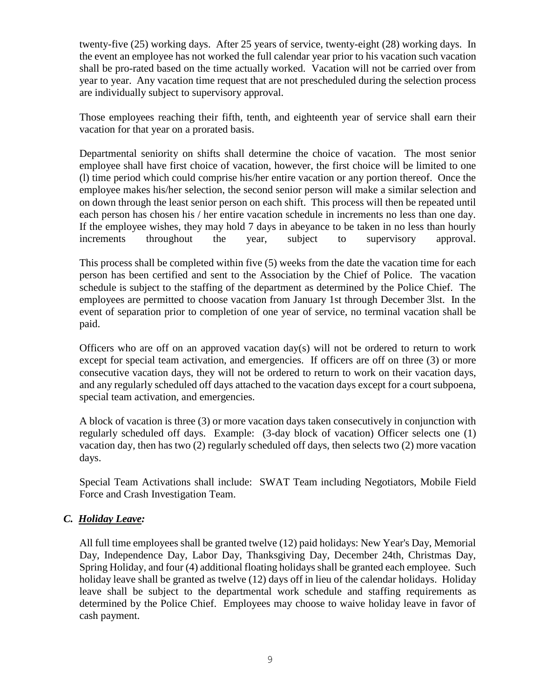twenty-five (25) working days. After 25 years of service, twenty-eight (28) working days. In the event an employee has not worked the full calendar year prior to his vacation such vacation shall be pro-rated based on the time actually worked. Vacation will not be carried over from year to year. Any vacation time request that are not prescheduled during the selection process are individually subject to supervisory approval.

Those employees reaching their fifth, tenth, and eighteenth year of service shall earn their vacation for that year on a prorated basis.

Departmental seniority on shifts shall determine the choice of vacation. The most senior employee shall have first choice of vacation, however, the first choice will be limited to one (l) time period which could comprise his/her entire vacation or any portion thereof. Once the employee makes his/her selection, the second senior person will make a similar selection and on down through the least senior person on each shift. This process will then be repeated until each person has chosen his / her entire vacation schedule in increments no less than one day. If the employee wishes, they may hold 7 days in abeyance to be taken in no less than hourly increments throughout the year, subject to supervisory approval.

This process shall be completed within five (5) weeks from the date the vacation time for each person has been certified and sent to the Association by the Chief of Police. The vacation schedule is subject to the staffing of the department as determined by the Police Chief. The employees are permitted to choose vacation from January 1st through December 3lst. In the event of separation prior to completion of one year of service, no terminal vacation shall be paid.

Officers who are off on an approved vacation day(s) will not be ordered to return to work except for special team activation, and emergencies. If officers are off on three (3) or more consecutive vacation days, they will not be ordered to return to work on their vacation days, and any regularly scheduled off days attached to the vacation days except for a court subpoena, special team activation, and emergencies.

A block of vacation is three (3) or more vacation days taken consecutively in conjunction with regularly scheduled off days. Example: (3-day block of vacation) Officer selects one (1) vacation day, then has two (2) regularly scheduled off days, then selects two (2) more vacation days.

Special Team Activations shall include: SWAT Team including Negotiators, Mobile Field Force and Crash Investigation Team.

## *C. Holiday Leave:*

All full time employees shall be granted twelve (12) paid holidays: New Year's Day, Memorial Day, Independence Day, Labor Day, Thanksgiving Day, December 24th, Christmas Day, Spring Holiday, and four (4) additional floating holidays shall be granted each employee. Such holiday leave shall be granted as twelve (12) days off in lieu of the calendar holidays. Holiday leave shall be subject to the departmental work schedule and staffing requirements as determined by the Police Chief. Employees may choose to waive holiday leave in favor of cash payment.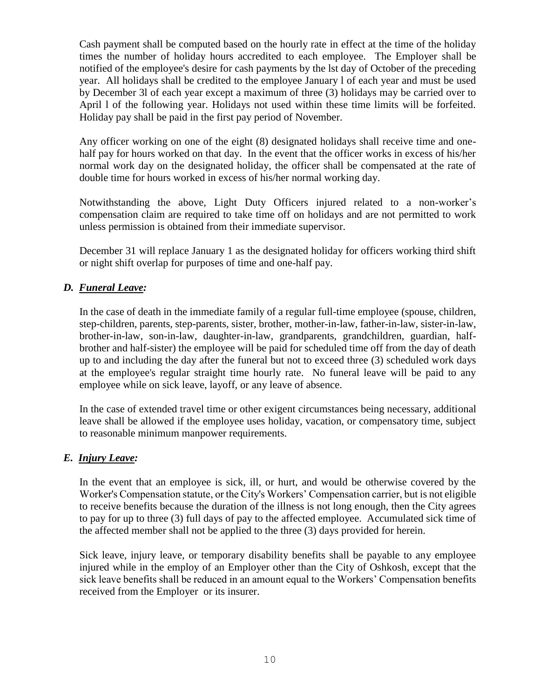Cash payment shall be computed based on the hourly rate in effect at the time of the holiday times the number of holiday hours accredited to each employee. The Employer shall be notified of the employee's desire for cash payments by the lst day of October of the preceding year. All holidays shall be credited to the employee January l of each year and must be used by December 3l of each year except a maximum of three (3) holidays may be carried over to April l of the following year. Holidays not used within these time limits will be forfeited. Holiday pay shall be paid in the first pay period of November.

Any officer working on one of the eight (8) designated holidays shall receive time and onehalf pay for hours worked on that day. In the event that the officer works in excess of his/her normal work day on the designated holiday, the officer shall be compensated at the rate of double time for hours worked in excess of his/her normal working day.

Notwithstanding the above, Light Duty Officers injured related to a non-worker's compensation claim are required to take time off on holidays and are not permitted to work unless permission is obtained from their immediate supervisor.

December 31 will replace January 1 as the designated holiday for officers working third shift or night shift overlap for purposes of time and one-half pay.

# *D. Funeral Leave:*

In the case of death in the immediate family of a regular full-time employee (spouse, children, step-children, parents, step-parents, sister, brother, mother-in-law, father-in-law, sister-in-law, brother-in-law, son-in-law, daughter-in-law, grandparents, grandchildren, guardian, halfbrother and half-sister) the employee will be paid for scheduled time off from the day of death up to and including the day after the funeral but not to exceed three (3) scheduled work days at the employee's regular straight time hourly rate. No funeral leave will be paid to any employee while on sick leave, layoff, or any leave of absence.

In the case of extended travel time or other exigent circumstances being necessary, additional leave shall be allowed if the employee uses holiday, vacation, or compensatory time, subject to reasonable minimum manpower requirements.

## *E. Injury Leave:*

In the event that an employee is sick, ill, or hurt, and would be otherwise covered by the Worker's Compensation statute, or the City's Workers' Compensation carrier, but is not eligible to receive benefits because the duration of the illness is not long enough, then the City agrees to pay for up to three (3) full days of pay to the affected employee. Accumulated sick time of the affected member shall not be applied to the three (3) days provided for herein.

Sick leave, injury leave, or temporary disability benefits shall be payable to any employee injured while in the employ of an Employer other than the City of Oshkosh, except that the sick leave benefits shall be reduced in an amount equal to the Workers' Compensation benefits received from the Employer or its insurer.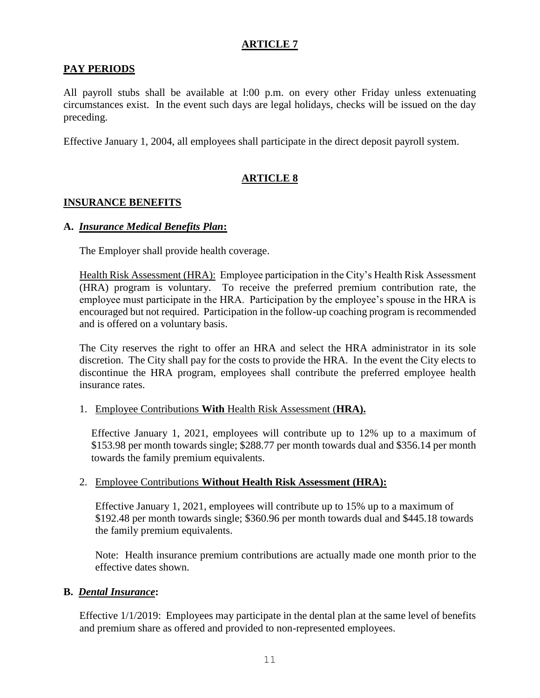# **ARTICLE 7**

### **PAY PERIODS**

All payroll stubs shall be available at l:00 p.m. on every other Friday unless extenuating circumstances exist. In the event such days are legal holidays, checks will be issued on the day preceding.

Effective January 1, 2004, all employees shall participate in the direct deposit payroll system.

# **ARTICLE 8**

#### **INSURANCE BENEFITS**

#### **A.** *Insurance Medical Benefits Plan***:**

The Employer shall provide health coverage.

Health Risk Assessment (HRA): Employee participation in the City's Health Risk Assessment (HRA) program is voluntary. To receive the preferred premium contribution rate, the employee must participate in the HRA. Participation by the employee's spouse in the HRA is encouraged but not required. Participation in the follow-up coaching program is recommended and is offered on a voluntary basis.

The City reserves the right to offer an HRA and select the HRA administrator in its sole discretion. The City shall pay for the costs to provide the HRA. In the event the City elects to discontinue the HRA program, employees shall contribute the preferred employee health insurance rates.

#### 1. Employee Contributions **With** Health Risk Assessment (**HRA).**

Effective January 1, 2021, employees will contribute up to 12% up to a maximum of \$153.98 per month towards single; \$288.77 per month towards dual and \$356.14 per month towards the family premium equivalents.

#### 2. Employee Contributions **Without Health Risk Assessment (HRA):**

Effective January 1, 2021, employees will contribute up to 15% up to a maximum of \$192.48 per month towards single; \$360.96 per month towards dual and \$445.18 towards the family premium equivalents.

Note: Health insurance premium contributions are actually made one month prior to the effective dates shown.

#### **B.** *Dental Insurance***:**

Effective 1/1/2019: Employees may participate in the dental plan at the same level of benefits and premium share as offered and provided to non-represented employees.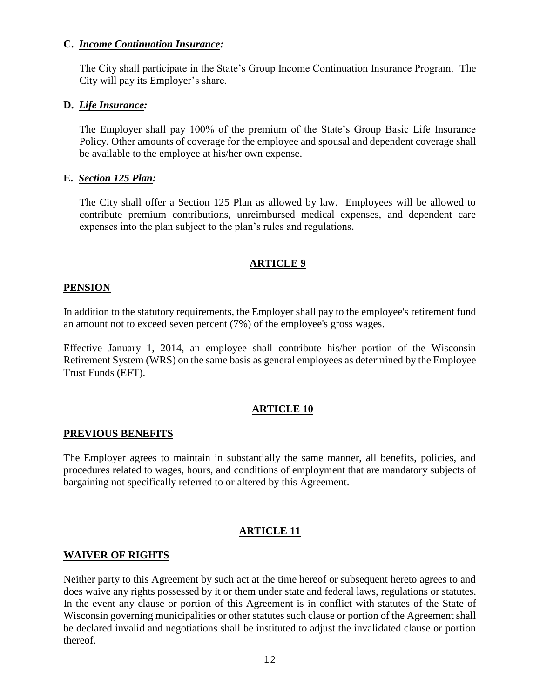#### **C.** *Income Continuation Insurance:*

The City shall participate in the State's Group Income Continuation Insurance Program. The City will pay its Employer's share.

#### **D.** *Life Insurance:*

The Employer shall pay 100% of the premium of the State's Group Basic Life Insurance Policy. Other amounts of coverage for the employee and spousal and dependent coverage shall be available to the employee at his/her own expense.

### **E.** *Section 125 Plan:*

The City shall offer a Section 125 Plan as allowed by law. Employees will be allowed to contribute premium contributions, unreimbursed medical expenses, and dependent care expenses into the plan subject to the plan's rules and regulations.

## **ARTICLE 9**

### **PENSION**

In addition to the statutory requirements, the Employer shall pay to the employee's retirement fund an amount not to exceed seven percent (7%) of the employee's gross wages.

Effective January 1, 2014, an employee shall contribute his/her portion of the Wisconsin Retirement System (WRS) on the same basis as general employees as determined by the Employee Trust Funds (EFT).

## **ARTICLE 10**

#### **PREVIOUS BENEFITS**

The Employer agrees to maintain in substantially the same manner, all benefits, policies, and procedures related to wages, hours, and conditions of employment that are mandatory subjects of bargaining not specifically referred to or altered by this Agreement.

## **ARTICLE 11**

#### **WAIVER OF RIGHTS**

Neither party to this Agreement by such act at the time hereof or subsequent hereto agrees to and does waive any rights possessed by it or them under state and federal laws, regulations or statutes. In the event any clause or portion of this Agreement is in conflict with statutes of the State of Wisconsin governing municipalities or other statutes such clause or portion of the Agreement shall be declared invalid and negotiations shall be instituted to adjust the invalidated clause or portion thereof.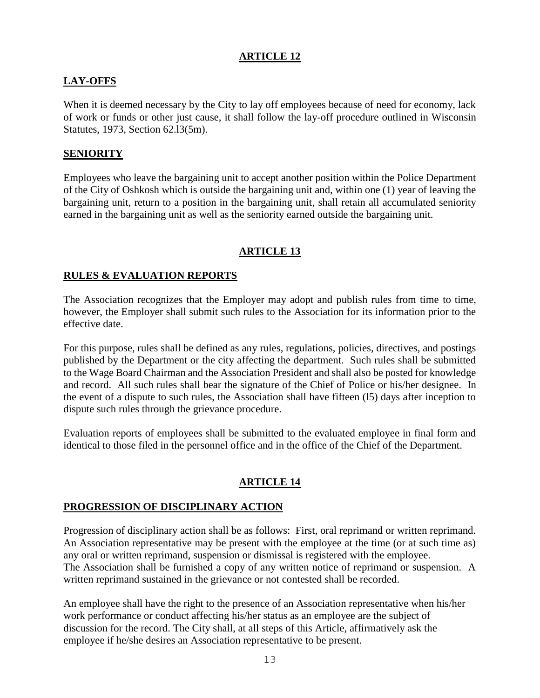### **ARTICLE 12**

# **LAY-OFFS**

When it is deemed necessary by the City to lay off employees because of need for economy, lack of work or funds or other just cause, it shall follow the lay-off procedure outlined in Wisconsin Statutes, 1973, Section 62.l3(5m).

### **SENIORITY**

Employees who leave the bargaining unit to accept another position within the Police Department of the City of Oshkosh which is outside the bargaining unit and, within one (1) year of leaving the bargaining unit, return to a position in the bargaining unit, shall retain all accumulated seniority earned in the bargaining unit as well as the seniority earned outside the bargaining unit.

# **ARTICLE 13**

### **RULES & EVALUATION REPORTS**

The Association recognizes that the Employer may adopt and publish rules from time to time, however, the Employer shall submit such rules to the Association for its information prior to the effective date.

For this purpose, rules shall be defined as any rules, regulations, policies, directives, and postings published by the Department or the city affecting the department. Such rules shall be submitted to the Wage Board Chairman and the Association President and shall also be posted for knowledge and record. All such rules shall bear the signature of the Chief of Police or his/her designee. In the event of a dispute to such rules, the Association shall have fifteen (l5) days after inception to dispute such rules through the grievance procedure.

Evaluation reports of employees shall be submitted to the evaluated employee in final form and identical to those filed in the personnel office and in the office of the Chief of the Department.

# **ARTICLE 14**

#### **PROGRESSION OF DISCIPLINARY ACTION**

Progression of disciplinary action shall be as follows: First, oral reprimand or written reprimand. An Association representative may be present with the employee at the time (or at such time as) any oral or written reprimand, suspension or dismissal is registered with the employee. The Association shall be furnished a copy of any written notice of reprimand or suspension. A written reprimand sustained in the grievance or not contested shall be recorded.

An employee shall have the right to the presence of an Association representative when his/her work performance or conduct affecting his/her status as an employee are the subject of discussion for the record. The City shall, at all steps of this Article, affirmatively ask the employee if he/she desires an Association representative to be present.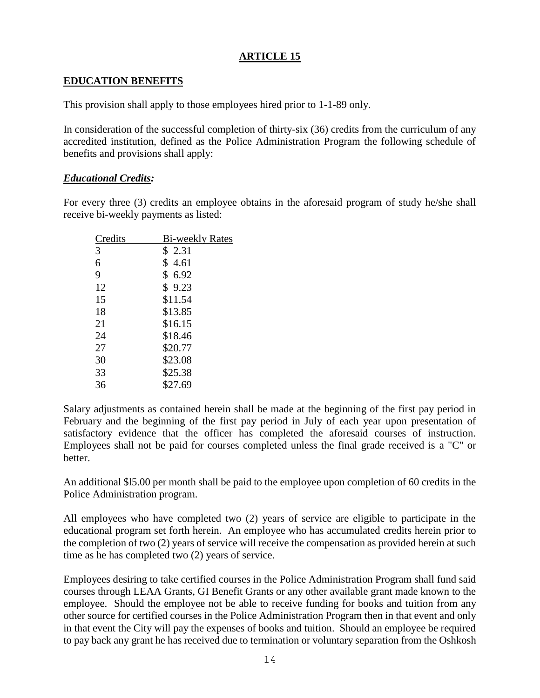### **ARTICLE 15**

## **EDUCATION BENEFITS**

This provision shall apply to those employees hired prior to 1-1-89 only.

In consideration of the successful completion of thirty-six (36) credits from the curriculum of any accredited institution, defined as the Police Administration Program the following schedule of benefits and provisions shall apply:

### *Educational Credits:*

For every three (3) credits an employee obtains in the aforesaid program of study he/she shall receive bi-weekly payments as listed:

| Credits | <b>Bi-weekly Rates</b> |
|---------|------------------------|
| 3       | \$2.31                 |
| 6       | \$4.61                 |
| 9       | \$6.92                 |
| 12      | \$9.23                 |
| 15      | \$11.54                |
| 18      | \$13.85                |
| 21      | \$16.15                |
| 24      | \$18.46                |
| 27      | \$20.77                |
| 30      | \$23.08                |
| 33      | \$25.38                |
| 36      | \$27.69                |

Salary adjustments as contained herein shall be made at the beginning of the first pay period in February and the beginning of the first pay period in July of each year upon presentation of satisfactory evidence that the officer has completed the aforesaid courses of instruction. Employees shall not be paid for courses completed unless the final grade received is a "C" or better.

An additional \$l5.00 per month shall be paid to the employee upon completion of 60 credits in the Police Administration program.

All employees who have completed two (2) years of service are eligible to participate in the educational program set forth herein. An employee who has accumulated credits herein prior to the completion of two (2) years of service will receive the compensation as provided herein at such time as he has completed two (2) years of service.

Employees desiring to take certified courses in the Police Administration Program shall fund said courses through LEAA Grants, GI Benefit Grants or any other available grant made known to the employee. Should the employee not be able to receive funding for books and tuition from any other source for certified courses in the Police Administration Program then in that event and only in that event the City will pay the expenses of books and tuition. Should an employee be required to pay back any grant he has received due to termination or voluntary separation from the Oshkosh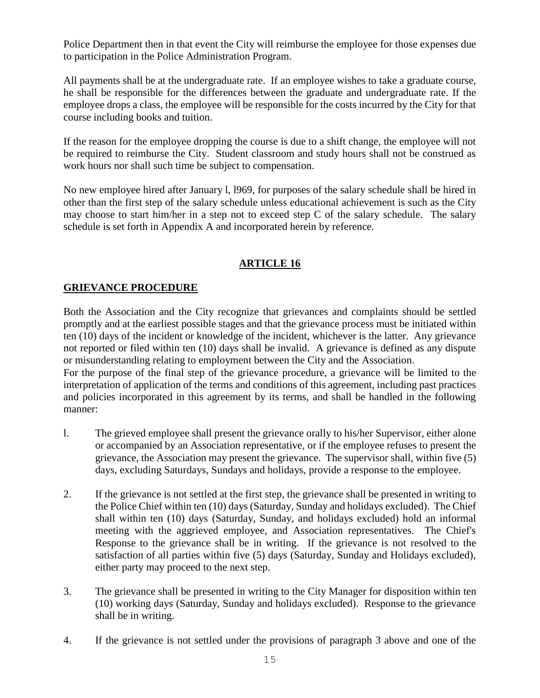Police Department then in that event the City will reimburse the employee for those expenses due to participation in the Police Administration Program.

All payments shall be at the undergraduate rate. If an employee wishes to take a graduate course, he shall be responsible for the differences between the graduate and undergraduate rate. If the employee drops a class, the employee will be responsible for the costs incurred by the City for that course including books and tuition.

If the reason for the employee dropping the course is due to a shift change, the employee will not be required to reimburse the City. Student classroom and study hours shall not be construed as work hours nor shall such time be subject to compensation.

No new employee hired after January l, l969, for purposes of the salary schedule shall be hired in other than the first step of the salary schedule unless educational achievement is such as the City may choose to start him/her in a step not to exceed step  $C$  of the salary schedule. The salary schedule is set forth in Appendix A and incorporated herein by reference.

# **ARTICLE 16**

## **GRIEVANCE PROCEDURE**

Both the Association and the City recognize that grievances and complaints should be settled promptly and at the earliest possible stages and that the grievance process must be initiated within ten (10) days of the incident or knowledge of the incident, whichever is the latter. Any grievance not reported or filed within ten (10) days shall be invalid. A grievance is defined as any dispute or misunderstanding relating to employment between the City and the Association.

For the purpose of the final step of the grievance procedure, a grievance will be limited to the interpretation of application of the terms and conditions of this agreement, including past practices and policies incorporated in this agreement by its terms, and shall be handled in the following manner:

- l. The grieved employee shall present the grievance orally to his/her Supervisor, either alone or accompanied by an Association representative, or if the employee refuses to present the grievance, the Association may present the grievance. The supervisor shall, within five (5) days, excluding Saturdays, Sundays and holidays, provide a response to the employee.
- 2. If the grievance is not settled at the first step, the grievance shall be presented in writing to the Police Chief within ten (10) days (Saturday, Sunday and holidays excluded). The Chief shall within ten (10) days (Saturday, Sunday, and holidays excluded) hold an informal meeting with the aggrieved employee, and Association representatives. The Chief's Response to the grievance shall be in writing. If the grievance is not resolved to the satisfaction of all parties within five (5) days (Saturday, Sunday and Holidays excluded), either party may proceed to the next step.
- 3. The grievance shall be presented in writing to the City Manager for disposition within ten (10) working days (Saturday, Sunday and holidays excluded). Response to the grievance shall be in writing.
- 4. If the grievance is not settled under the provisions of paragraph 3 above and one of the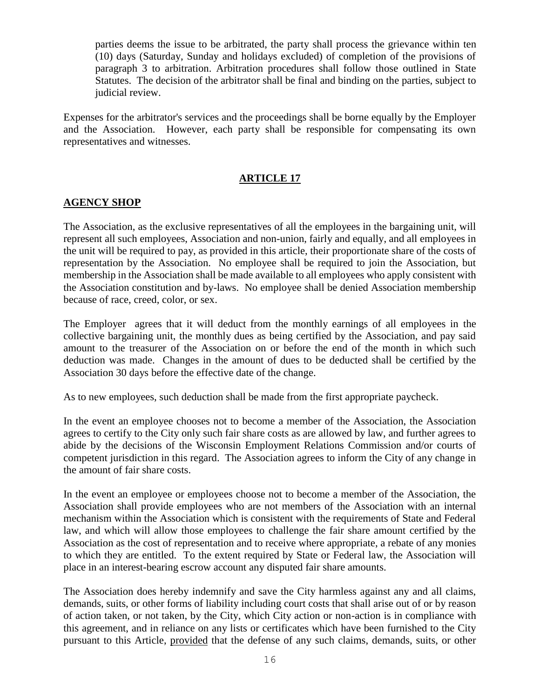parties deems the issue to be arbitrated, the party shall process the grievance within ten (10) days (Saturday, Sunday and holidays excluded) of completion of the provisions of paragraph 3 to arbitration. Arbitration procedures shall follow those outlined in State Statutes. The decision of the arbitrator shall be final and binding on the parties, subject to judicial review.

Expenses for the arbitrator's services and the proceedings shall be borne equally by the Employer and the Association. However, each party shall be responsible for compensating its own representatives and witnesses.

# **ARTICLE 17**

## **AGENCY SHOP**

The Association, as the exclusive representatives of all the employees in the bargaining unit, will represent all such employees, Association and non-union, fairly and equally, and all employees in the unit will be required to pay, as provided in this article, their proportionate share of the costs of representation by the Association. No employee shall be required to join the Association, but membership in the Association shall be made available to all employees who apply consistent with the Association constitution and by-laws. No employee shall be denied Association membership because of race, creed, color, or sex.

The Employer agrees that it will deduct from the monthly earnings of all employees in the collective bargaining unit, the monthly dues as being certified by the Association, and pay said amount to the treasurer of the Association on or before the end of the month in which such deduction was made. Changes in the amount of dues to be deducted shall be certified by the Association 30 days before the effective date of the change.

As to new employees, such deduction shall be made from the first appropriate paycheck.

In the event an employee chooses not to become a member of the Association, the Association agrees to certify to the City only such fair share costs as are allowed by law, and further agrees to abide by the decisions of the Wisconsin Employment Relations Commission and/or courts of competent jurisdiction in this regard. The Association agrees to inform the City of any change in the amount of fair share costs.

In the event an employee or employees choose not to become a member of the Association, the Association shall provide employees who are not members of the Association with an internal mechanism within the Association which is consistent with the requirements of State and Federal law, and which will allow those employees to challenge the fair share amount certified by the Association as the cost of representation and to receive where appropriate, a rebate of any monies to which they are entitled. To the extent required by State or Federal law, the Association will place in an interest-bearing escrow account any disputed fair share amounts.

The Association does hereby indemnify and save the City harmless against any and all claims, demands, suits, or other forms of liability including court costs that shall arise out of or by reason of action taken, or not taken, by the City, which City action or non-action is in compliance with this agreement, and in reliance on any lists or certificates which have been furnished to the City pursuant to this Article, provided that the defense of any such claims, demands, suits, or other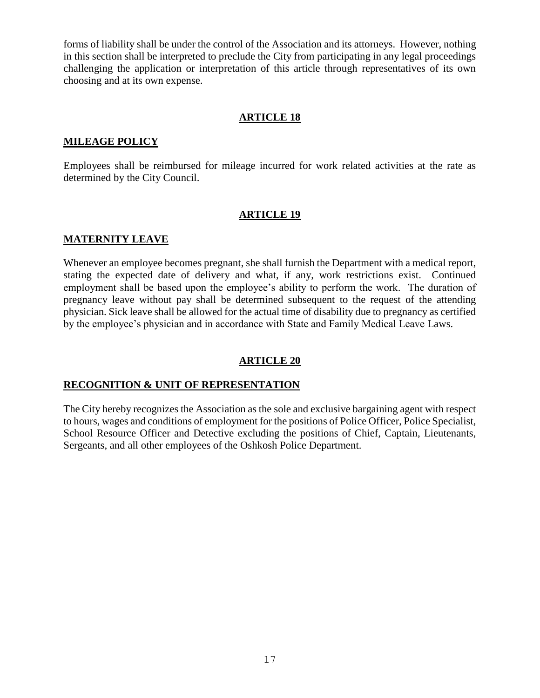forms of liability shall be under the control of the Association and its attorneys. However, nothing in this section shall be interpreted to preclude the City from participating in any legal proceedings challenging the application or interpretation of this article through representatives of its own choosing and at its own expense.

#### **ARTICLE 18**

#### **MILEAGE POLICY**

Employees shall be reimbursed for mileage incurred for work related activities at the rate as determined by the City Council.

#### **ARTICLE 19**

#### **MATERNITY LEAVE**

Whenever an employee becomes pregnant, she shall furnish the Department with a medical report, stating the expected date of delivery and what, if any, work restrictions exist. Continued employment shall be based upon the employee's ability to perform the work. The duration of pregnancy leave without pay shall be determined subsequent to the request of the attending physician. Sick leave shall be allowed for the actual time of disability due to pregnancy as certified by the employee's physician and in accordance with State and Family Medical Leave Laws.

#### **ARTICLE 20**

#### **RECOGNITION & UNIT OF REPRESENTATION**

The City hereby recognizes the Association as the sole and exclusive bargaining agent with respect to hours, wages and conditions of employment for the positions of Police Officer, Police Specialist, School Resource Officer and Detective excluding the positions of Chief, Captain, Lieutenants, Sergeants, and all other employees of the Oshkosh Police Department.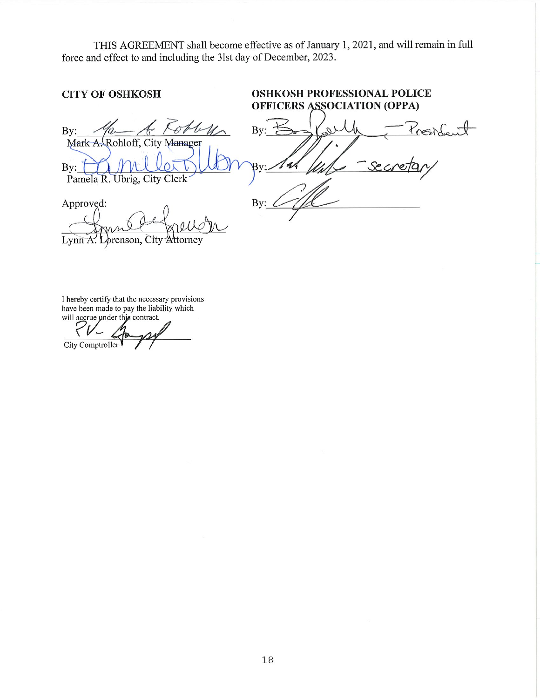THIS AGREEMENT shall become effective as of January 1, 2021, and will remain in full force and effect to and including the 31st day of December, 2023.

#### **OSHKOSH PROFESSIONAL POLICE CITY OF OSHKOSH OFFICERS ASSOCIATION (OPPA)** By:  $\nu_{\!\smallfrown\!\smallfrown}$ By  $\sim$ rende Mark A. Rohloff, City Manager  $\frac{1}{2}$ By: Pamela R. Ubrig, City Clerk Approved:  $B<sub>1</sub>$ Lynn A. Lorenson, City Attorney

I hereby certify that the necessary provisions have been made to pay the liability which will accrue under this contract.

City Comptroller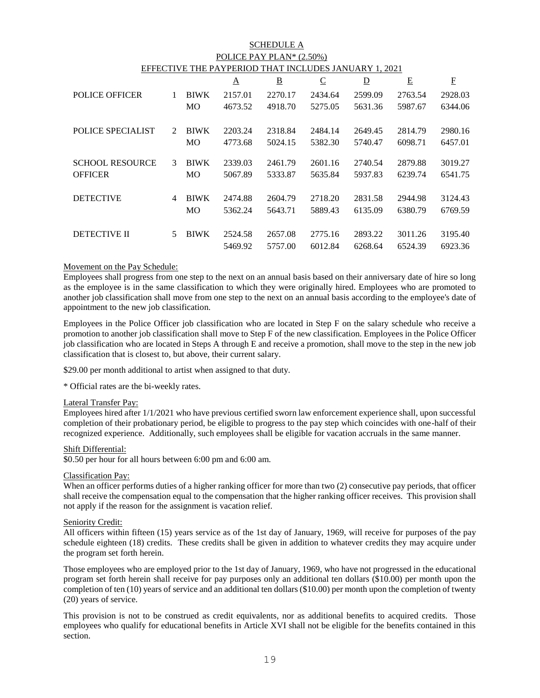#### SCHEDULE A POLICE PAY PLAN\* (2.50%) EFFECTIVE THE PAYPERIOD THAT INCLUDES JANUARY 1, 2021

|                |             | Δ       | $\underline{\mathbf{B}}$ | $\overline{C}$ | $\overline{\mathsf{D}}$ | Ε       | E       |
|----------------|-------------|---------|--------------------------|----------------|-------------------------|---------|---------|
| 1              | <b>BIWK</b> | 2157.01 | 2270.17                  | 2434.64        | 2599.09                 | 2763.54 | 2928.03 |
|                | <b>MO</b>   | 4673.52 | 4918.70                  | 5275.05        | 5631.36                 | 5987.67 | 6344.06 |
| $\mathfrak{D}$ | <b>BIWK</b> | 2203.24 | 2318.84                  | 2484.14        | 2649.45                 | 2814.79 | 2980.16 |
|                | <b>MO</b>   | 4773.68 | 5024.15                  | 5382.30        | 5740.47                 | 6098.71 | 6457.01 |
| $\mathcal{E}$  | <b>BIWK</b> | 2339.03 | 2461.79                  | 2601.16        | 2740.54                 | 2879.88 | 3019.27 |
|                | MO          | 5067.89 | 5333.87                  | 5635.84        | 5937.83                 | 6239.74 | 6541.75 |
| 4              | <b>BIWK</b> | 2474.88 | 2604.79                  | 2718.20        | 2831.58                 | 2944.98 | 3124.43 |
|                | <b>MO</b>   | 5362.24 | 5643.71                  | 5889.43        | 6135.09                 | 6380.79 | 6769.59 |
| 5              | <b>BIWK</b> | 2524.58 | 2657.08                  | 2775.16        | 2893.22                 | 3011.26 | 3195.40 |
|                |             | 5469.92 | 5757.00                  | 6012.84        | 6268.64                 | 6524.39 | 6923.36 |
|                |             |         |                          |                |                         |         |         |

#### Movement on the Pay Schedule:

Employees shall progress from one step to the next on an annual basis based on their anniversary date of hire so long as the employee is in the same classification to which they were originally hired. Employees who are promoted to another job classification shall move from one step to the next on an annual basis according to the employee's date of appointment to the new job classification.

Employees in the Police Officer job classification who are located in Step F on the salary schedule who receive a promotion to another job classification shall move to Step F of the new classification. Employees in the Police Officer job classification who are located in Steps A through E and receive a promotion, shall move to the step in the new job classification that is closest to, but above, their current salary.

\$29.00 per month additional to artist when assigned to that duty.

\* Official rates are the bi-weekly rates.

#### Lateral Transfer Pay:

Employees hired after 1/1/2021 who have previous certified sworn law enforcement experience shall, upon successful completion of their probationary period, be eligible to progress to the pay step which coincides with one-half of their recognized experience. Additionally, such employees shall be eligible for vacation accruals in the same manner.

#### Shift Differential:

\$0.50 per hour for all hours between 6:00 pm and 6:00 am.

#### Classification Pay:

When an officer performs duties of a higher ranking officer for more than two (2) consecutive pay periods, that officer shall receive the compensation equal to the compensation that the higher ranking officer receives. This provision shall not apply if the reason for the assignment is vacation relief.

#### Seniority Credit:

All officers within fifteen (15) years service as of the 1st day of January, 1969, will receive for purposes of the pay schedule eighteen (18) credits. These credits shall be given in addition to whatever credits they may acquire under the program set forth herein.

Those employees who are employed prior to the 1st day of January, 1969, who have not progressed in the educational program set forth herein shall receive for pay purposes only an additional ten dollars (\$10.00) per month upon the completion of ten (10) years of service and an additional ten dollars (\$10.00) per month upon the completion of twenty (20) years of service.

This provision is not to be construed as credit equivalents, nor as additional benefits to acquired credits. Those employees who qualify for educational benefits in Article XVI shall not be eligible for the benefits contained in this section.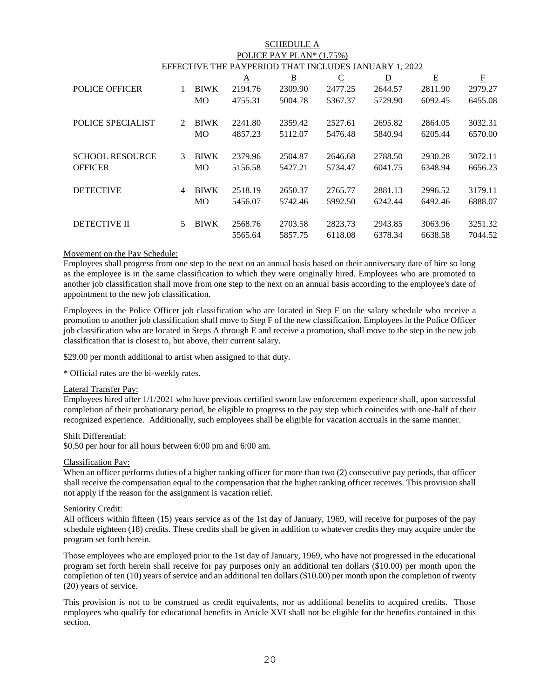| <b>SCHEDULE A</b>                                     |               |             |          |                |                |                         |         |           |  |  |
|-------------------------------------------------------|---------------|-------------|----------|----------------|----------------|-------------------------|---------|-----------|--|--|
| POLICE PAY PLAN* (1.75%)                              |               |             |          |                |                |                         |         |           |  |  |
| EFFECTIVE THE PAYPERIOD THAT INCLUDES JANUARY 1, 2022 |               |             |          |                |                |                         |         |           |  |  |
|                                                       |               |             | $\Delta$ | $\overline{B}$ | $\overline{C}$ | $\overline{\mathsf{D}}$ | E       | ${\bf F}$ |  |  |
| <b>POLICE OFFICER</b>                                 | 1             | <b>BIWK</b> | 2194.76  | 2309.90        | 2477.25        | 2644.57                 | 2811.90 | 2979.27   |  |  |
|                                                       |               | MO          | 4755.31  | 5004.78        | 5367.37        | 5729.90                 | 6092.45 | 6455.08   |  |  |
| <b>POLICE SPECIALIST</b>                              | $\mathcal{L}$ | <b>BIWK</b> | 2241.80  | 2359.42        | 2527.61        | 2695.82                 | 2864.05 | 3032.31   |  |  |
|                                                       |               | MO          | 4857.23  | 5112.07        | 5476.48        | 5840.94                 | 6205.44 | 6570.00   |  |  |
|                                                       |               |             |          |                |                |                         |         |           |  |  |
| <b>SCHOOL RESOURCE</b>                                | 3             | <b>BIWK</b> | 2379.96  | 2504.87        | 2646.68        | 2788.50                 | 2930.28 | 3072.11   |  |  |
| <b>OFFICER</b>                                        |               | МO          | 5156.58  | 5427.21        | 5734.47        | 6041.75                 | 6348.94 | 6656.23   |  |  |
|                                                       |               |             |          |                |                |                         |         |           |  |  |
| <b>DETECTIVE</b>                                      | 4             | <b>BIWK</b> | 2518.19  | 2650.37        | 2765.77        | 2881.13                 | 2996.52 | 3179.11   |  |  |
|                                                       |               | МO          | 5456.07  | 5742.46        | 5992.50        | 6242.44                 | 6492.46 | 6888.07   |  |  |
| DETECTIVE II                                          | 5.            | <b>BIWK</b> | 2568.76  | 2703.58        | 2823.73        | 2943.85                 | 3063.96 | 3251.32   |  |  |
|                                                       |               |             | 5565.64  | 5857.75        | 6118.08        | 6378.34                 | 6638.58 | 7044.52   |  |  |

#### Movement on the Pay Schedule:

Employees shall progress from one step to the next on an annual basis based on their anniversary date of hire so long as the employee is in the same classification to which they were originally hired. Employees who are promoted to another job classification shall move from one step to the next on an annual basis according to the employee's date of appointment to the new job classification.

Employees in the Police Officer job classification who are located in Step F on the salary schedule who receive a promotion to another job classification shall move to Step F of the new classification. Employees in the Police Officer job classification who are located in Steps A through E and receive a promotion, shall move to the step in the new job classification that is closest to, but above, their current salary.

\$29.00 per month additional to artist when assigned to that duty.

\* Official rates are the bi-weekly rates.

#### Lateral Transfer Pay:

Employees hired after 1/1/2021 who have previous certified sworn law enforcement experience shall, upon successful completion of their probationary period, be eligible to progress to the pay step which coincides with one-half of their recognized experience. Additionally, such employees shall be eligible for vacation accruals in the same manner.

#### Shift Differential:

\$0.50 per hour for all hours between 6:00 pm and 6:00 am.

#### Classification Pay:

When an officer performs duties of a higher ranking officer for more than two (2) consecutive pay periods, that officer shall receive the compensation equal to the compensation that the higher ranking officer receives. This provision shall not apply if the reason for the assignment is vacation relief.

#### Seniority Credit:

All officers within fifteen (15) years service as of the 1st day of January, 1969, will receive for purposes of the pay schedule eighteen (18) credits. These credits shall be given in addition to whatever credits they may acquire under the program set forth herein.

Those employees who are employed prior to the 1st day of January, 1969, who have not progressed in the educational program set forth herein shall receive for pay purposes only an additional ten dollars (\$10.00) per month upon the completion of ten (10) years of service and an additional ten dollars (\$10.00) per month upon the completion of twenty (20) years of service.

This provision is not to be construed as credit equivalents, nor as additional benefits to acquired credits. Those employees who qualify for educational benefits in Article XVI shall not be eligible for the benefits contained in this section.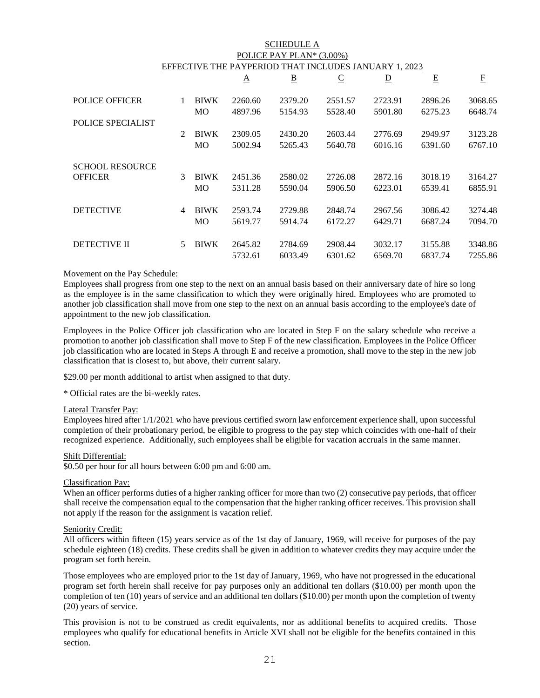| <b>SCHEDULE A</b>                                        |               |             |          |                |                |                         |         |          |  |  |  |
|----------------------------------------------------------|---------------|-------------|----------|----------------|----------------|-------------------------|---------|----------|--|--|--|
| POLICE PAY PLAN* (3.00%)                                 |               |             |          |                |                |                         |         |          |  |  |  |
| EFFECTIVE THE PAYPERIOD<br>THAT INCLUDES JANUARY 1, 2023 |               |             |          |                |                |                         |         |          |  |  |  |
|                                                          |               |             | $\Delta$ | $\overline{B}$ | $\overline{C}$ | $\overline{\mathsf{D}}$ | E       | $\rm{F}$ |  |  |  |
| <b>POLICE OFFICER</b>                                    |               | <b>BIWK</b> | 2260.60  | 2379.20        | 2551.57        | 2723.91                 | 2896.26 | 3068.65  |  |  |  |
|                                                          |               | <b>MO</b>   | 4897.96  | 5154.93        | 5528.40        | 5901.80                 | 6275.23 | 6648.74  |  |  |  |
| <b>POLICE SPECIALIST</b>                                 |               |             |          |                |                |                         |         |          |  |  |  |
|                                                          | $\mathcal{L}$ | <b>BIWK</b> | 2309.05  | 2430.20        | 2603.44        | 2776.69                 | 2949.97 | 3123.28  |  |  |  |
|                                                          |               | МO          | 5002.94  | 5265.43        | 5640.78        | 6016.16                 | 6391.60 | 6767.10  |  |  |  |
| <b>SCHOOL RESOURCE</b>                                   |               |             |          |                |                |                         |         |          |  |  |  |
| <b>OFFICER</b>                                           | 3             | <b>BIWK</b> | 2451.36  | 2580.02        | 2726.08        | 2872.16                 | 3018.19 | 3164.27  |  |  |  |
|                                                          |               | <b>MO</b>   | 5311.28  | 5590.04        | 5906.50        | 6223.01                 | 6539.41 | 6855.91  |  |  |  |
| <b>DETECTIVE</b>                                         | 4             | <b>BIWK</b> | 2593.74  | 2729.88        | 2848.74        | 2967.56                 | 3086.42 | 3274.48  |  |  |  |
|                                                          |               | МO          | 5619.77  | 5914.74        | 6172.27        | 6429.71                 | 6687.24 | 7094.70  |  |  |  |
|                                                          |               |             |          |                |                |                         |         |          |  |  |  |
| <b>DETECTIVE II</b>                                      | 5             | <b>BIWK</b> | 2645.82  | 2784.69        | 2908.44        | 3032.17                 | 3155.88 | 3348.86  |  |  |  |
|                                                          |               |             | 5732.61  | 6033.49        | 6301.62        | 6569.70                 | 6837.74 | 7255.86  |  |  |  |

#### Movement on the Pay Schedule:

Employees shall progress from one step to the next on an annual basis based on their anniversary date of hire so long as the employee is in the same classification to which they were originally hired. Employees who are promoted to another job classification shall move from one step to the next on an annual basis according to the employee's date of appointment to the new job classification.

Employees in the Police Officer job classification who are located in Step F on the salary schedule who receive a promotion to another job classification shall move to Step F of the new classification. Employees in the Police Officer job classification who are located in Steps A through E and receive a promotion, shall move to the step in the new job classification that is closest to, but above, their current salary.

\$29.00 per month additional to artist when assigned to that duty.

\* Official rates are the bi-weekly rates.

#### Lateral Transfer Pay:

Employees hired after 1/1/2021 who have previous certified sworn law enforcement experience shall, upon successful completion of their probationary period, be eligible to progress to the pay step which coincides with one-half of their recognized experience. Additionally, such employees shall be eligible for vacation accruals in the same manner.

#### Shift Differential:

\$0.50 per hour for all hours between 6:00 pm and 6:00 am.

#### Classification Pay:

When an officer performs duties of a higher ranking officer for more than two (2) consecutive pay periods, that officer shall receive the compensation equal to the compensation that the higher ranking officer receives. This provision shall not apply if the reason for the assignment is vacation relief.

#### Seniority Credit:

All officers within fifteen (15) years service as of the 1st day of January, 1969, will receive for purposes of the pay schedule eighteen (18) credits. These credits shall be given in addition to whatever credits they may acquire under the program set forth herein.

Those employees who are employed prior to the 1st day of January, 1969, who have not progressed in the educational program set forth herein shall receive for pay purposes only an additional ten dollars (\$10.00) per month upon the completion of ten (10) years of service and an additional ten dollars (\$10.00) per month upon the completion of twenty (20) years of service.

This provision is not to be construed as credit equivalents, nor as additional benefits to acquired credits. Those employees who qualify for educational benefits in Article XVI shall not be eligible for the benefits contained in this section.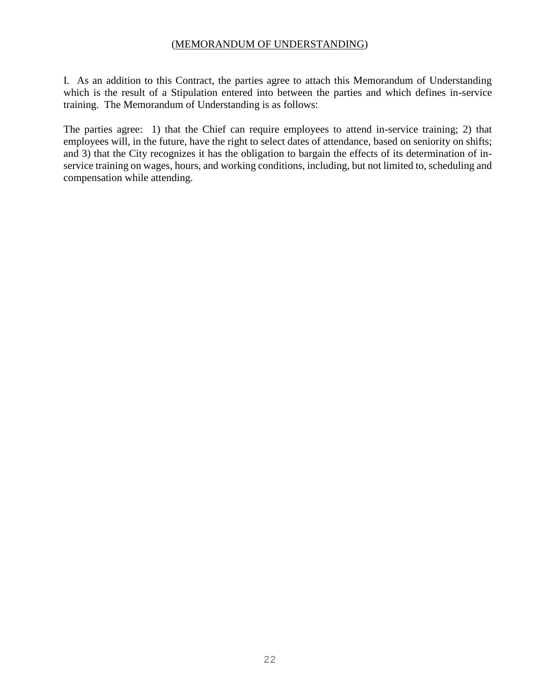#### (MEMORANDUM OF UNDERSTANDING)

I. As an addition to this Contract, the parties agree to attach this Memorandum of Understanding which is the result of a Stipulation entered into between the parties and which defines in-service training. The Memorandum of Understanding is as follows:

The parties agree: 1) that the Chief can require employees to attend in-service training; 2) that employees will, in the future, have the right to select dates of attendance, based on seniority on shifts; and 3) that the City recognizes it has the obligation to bargain the effects of its determination of inservice training on wages, hours, and working conditions, including, but not limited to, scheduling and compensation while attending.